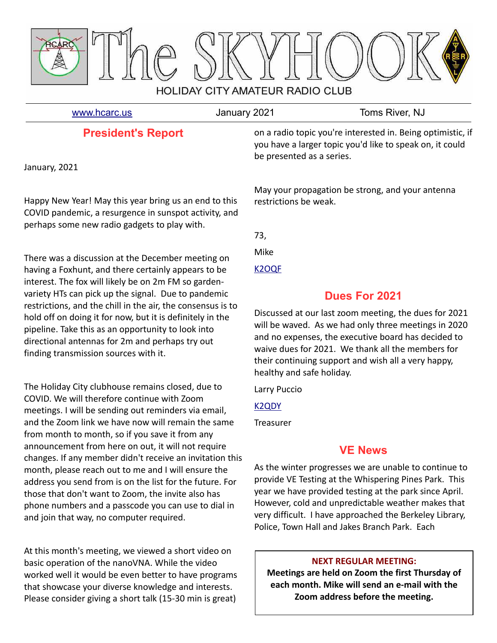

[www.hcarc.us](http://www.hcarc.us/) **Immuno State State State State State State State State State State State State State State State State State State State State State State State State State State State State State State State State State Sta** 

# **President's Report**

January, 2021

Happy New Year! May this year bring us an end to this COVID pandemic, a resurgence in sunspot activity, and perhaps some new radio gadgets to play with.

There was a discussion at the December meeting on having a Foxhunt, and there certainly appears to be interest. The fox will likely be on 2m FM so gardenvariety HTs can pick up the signal. Due to pandemic restrictions, and the chill in the air, the consensus is to hold off on doing it for now, but it is definitely in the pipeline. Take this as an opportunity to look into directional antennas for 2m and perhaps try out finding transmission sources with it.

The Holiday City clubhouse remains closed, due to COVID. We will therefore continue with Zoom meetings. I will be sending out reminders via email, and the Zoom link we have now will remain the same from month to month, so if you save it from any announcement from here on out, it will not require changes. If any member didn't receive an invitation this month, please reach out to me and I will ensure the address you send from is on the list for the future. For those that don't want to Zoom, the invite also has phone numbers and a passcode you can use to dial in and join that way, no computer required.

At this month's meeting, we viewed a short video on basic operation of the nanoVNA. While the video worked well it would be even better to have programs that showcase your diverse knowledge and interests. Please consider giving a short talk (15-30 min is great)

on a radio topic you're interested in. Being optimistic, if you have a larger topic you'd like to speak on, it could be presented as a series.

May your propagation be strong, and your antenna restrictions be weak.

73,

Mike

[K2OQF](mailto:k2oqf@mike-carson.com)

# **Dues For 2021**

Discussed at our last zoom meeting, the dues for 2021 will be waved. As we had only three meetings in 2020 and no expenses, the executive board has decided to waive dues for 2021. We thank all the members for their continuing support and wish all a very happy, healthy and safe holiday.

Larry Puccio

[K2QDY](mailto:lpuccio071@gmail.com)

**Treasurer** 

# **VE News**

As the winter progresses we are unable to continue to provide VE Testing at the Whispering Pines Park. This year we have provided testing at the park since April. However, cold and unpredictable weather makes that very difficult. I have approached the Berkeley Library, Police, Town Hall and Jakes Branch Park. Each

## **NEXT REGULAR MEETING:**

**Meetings are held on Zoom the first Thursday of each month. Mike will send an e-mail with the Zoom address before the meeting.**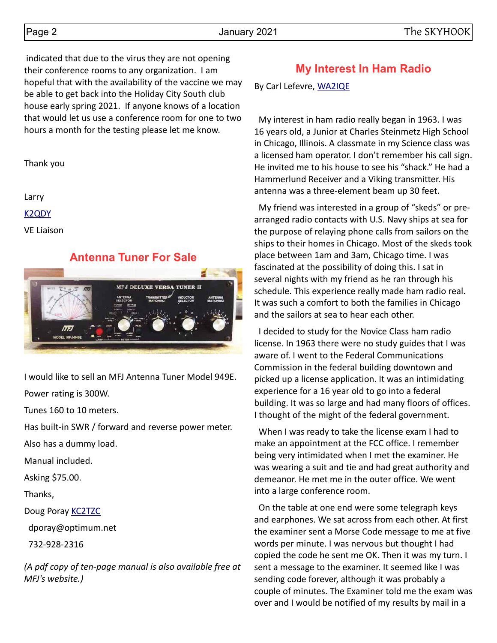indicated that due to the virus they are not opening their conference rooms to any organization. I am hopeful that with the availability of the vaccine we may be able to get back into the Holiday City South club house early spring 2021. If anyone knows of a location that would let us use a conference room for one to two hours a month for the testing please let me know.

Thank you

Larry

[K2QDY](mailto:lpuccio071@gmail.com)

VE Liaison

## **Antenna Tuner For Sale**



I would like to sell an MFJ Antenna Tuner Model 949E.

Power rating is 300W.

Tunes 160 to 10 meters.

Has built-in SWR / forward and reverse power meter.

Also has a dummy load.

Manual included.

Asking \$75.00.

Thanks,

Doug Poray [KC2TZC](mailto:dporay@optimum.net)

dporay@optimum.net

732-928-2316

*(A pdf copy of ten-page manual is also available free at MFJ's website.)*

# **My Interest In Ham Radio**

By Carl Lefevre, [WA2IQE](mailto:carllev@comcast.net)

 My interest in ham radio really began in 1963. I was 16 years old, a Junior at Charles Steinmetz High School in Chicago, Illinois. A classmate in my Science class was a licensed ham operator. I don't remember his call sign. He invited me to his house to see his "shack." He had a Hammerlund Receiver and a Viking transmitter. His antenna was a three-element beam up 30 feet.

 My friend was interested in a group of "skeds" or prearranged radio contacts with U.S. Navy ships at sea for the purpose of relaying phone calls from sailors on the ships to their homes in Chicago. Most of the skeds took place between 1am and 3am, Chicago time. I was fascinated at the possibility of doing this. I sat in several nights with my friend as he ran through his schedule. This experience really made ham radio real. It was such a comfort to both the families in Chicago and the sailors at sea to hear each other.

 I decided to study for the Novice Class ham radio license. In 1963 there were no study guides that I was aware of. I went to the Federal Communications Commission in the federal building downtown and picked up a license application. It was an intimidating experience for a 16 year old to go into a federal building. It was so large and had many floors of offices. I thought of the might of the federal government.

 When I was ready to take the license exam I had to make an appointment at the FCC office. I remember being very intimidated when I met the examiner. He was wearing a suit and tie and had great authority and demeanor. He met me in the outer office. We went into a large conference room.

 On the table at one end were some telegraph keys and earphones. We sat across from each other. At first the examiner sent a Morse Code message to me at five words per minute. I was nervous but thought I had copied the code he sent me OK. Then it was my turn. I sent a message to the examiner. It seemed like I was sending code forever, although it was probably a couple of minutes. The Examiner told me the exam was over and I would be notified of my results by mail in a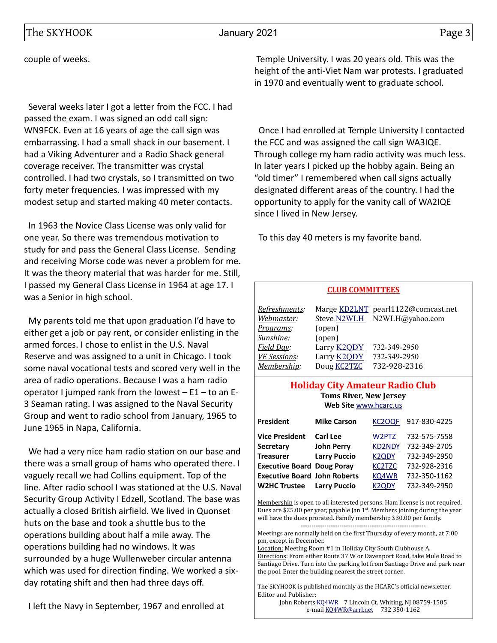couple of weeks.

 Several weeks later I got a letter from the FCC. I had passed the exam. I was signed an odd call sign: WN9FCK. Even at 16 years of age the call sign was embarrassing. I had a small shack in our basement. I had a Viking Adventurer and a Radio Shack general coverage receiver. The transmitter was crystal controlled. I had two crystals, so I transmitted on two forty meter frequencies. I was impressed with my modest setup and started making 40 meter contacts.

 In 1963 the Novice Class License was only valid for one year. So there was tremendous motivation to study for and pass the General Class License. Sending and receiving Morse code was never a problem for me. It was the theory material that was harder for me. Still, I passed my General Class License in 1964 at age 17. I was a Senior in high school.

 My parents told me that upon graduation I'd have to either get a job or pay rent, or consider enlisting in the armed forces. I chose to enlist in the U.S. Naval Reserve and was assigned to a unit in Chicago. I took some naval vocational tests and scored very well in the area of radio operations. Because I was a ham radio operator I jumped rank from the lowest  $- E1 -$  to an E-3 Seaman rating. I was assigned to the Naval Security Group and went to radio school from January, 1965 to June 1965 in Napa, California.

 We had a very nice ham radio station on our base and there was a small group of hams who operated there. I vaguely recall we had Collins equipment. Top of the line. After radio school I was stationed at the U.S. Naval Security Group Activity I Edzell, Scotland. The base was actually a closed British airfield. We lived in Quonset huts on the base and took a shuttle bus to the operations building about half a mile away. The operations building had no windows. It was surrounded by a huge Wullenweber circular antenna which was used for direction finding. We worked a sixday rotating shift and then had three days off.

I left the Navy in September, 1967 and enrolled at

 Temple University. I was 20 years old. This was the height of the anti-Viet Nam war protests. I graduated in 1970 and eventually went to graduate school.

 Once I had enrolled at Temple University I contacted the FCC and was assigned the call sign WA3IQE. Through college my ham radio activity was much less. In later years I picked up the hobby again. Being an "old timer" I remembered when call signs actually designated different areas of the country. I had the opportunity to apply for the vanity call of WA2IQE since I lived in New Jersey.

To this day 40 meters is my favorite band.

### **CLUB COMMITTEES**

| Refreshments:       |                    | Marge KD2LNT pearl1122@comcast.net |
|---------------------|--------------------|------------------------------------|
| Webmaster:          |                    | Steve N2WLH N2WLH@yahoo.com        |
| Programs:           | (open)             |                                    |
| Sunshine:           | (open)             |                                    |
| Field Day:          | Larry <b>K2QDY</b> | 732-349-2950                       |
| <b>VE Sessions:</b> | Larry <b>K2QDY</b> | 732-349-2950                       |
| Membership:         | Doug <b>KC2TZC</b> | 732-928-2316                       |

### **Holiday City Amateur Radio Club Toms River, New Jersey Web Site** [www.hcarc.us](http://www.hcarc.us/)

| <b>Mike Carson</b>                  | KC <sub>2</sub> OQF              | 917-830-4225 |
|-------------------------------------|----------------------------------|--------------|
| Carl Lee                            | W2PTZ                            | 732-575-7558 |
| <b>John Perry</b>                   | <b>KD2NDY</b>                    | 732-349-2705 |
| <b>Larry Puccio</b>                 | <b>K2QDY</b>                     | 732-349-2950 |
| <b>Executive Board Doug Poray</b>   | KC <sub>2</sub> T <sub>Z</sub> C | 732-928-2316 |
| <b>Executive Board John Roberts</b> | KQ4WR                            | 732-350-1162 |
| <b>Larry Puccio</b>                 | K <sub>2</sub> ODY               | 732-349-2950 |
|                                     |                                  |              |

Membership is open to all interested persons. Ham license is not required. Dues are \$25.00 per year, payable Jan  $1<sup>st</sup>$ . Members joining during the year will have the dues prorated. Family membership \$30.00 per family.

---------------------------------------------------------- Meetings are normally held on the first Thursday of every month, at 7:00 pm, except in December.

Location: Meeting Room #1 in Holiday City South Clubhouse A. Directions: From either Route 37 W or Davenport Road, take Mule Road to Santiago Drive. Turn into the parking lot from Santiago Drive and park near the pool. Enter the building nearest the street corner..

The SKYHOOK is published monthly as the HCARC's official newsletter. Editor and Publisher:

John Roberts [KQ4WR](mailto:kq4wr@arrl.net) 7 Lincoln Ct. Whiting, NJ 08759-1505 e-mail [KQ4WR@arrl.net](mailto:KQ4WR@arrl.net) 732 350-1162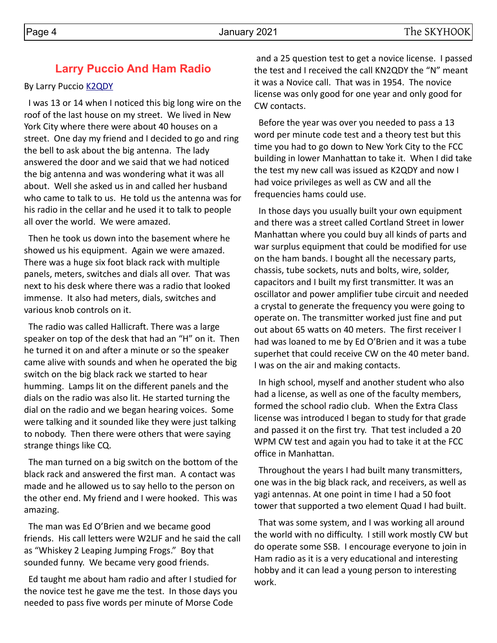## By Larry Puccio **K2QDY**

 I was 13 or 14 when I noticed this big long wire on the roof of the last house on my street. We lived in New York City where there were about 40 houses on a street. One day my friend and I decided to go and ring the bell to ask about the big antenna. The lady answered the door and we said that we had noticed the big antenna and was wondering what it was all about. Well she asked us in and called her husband who came to talk to us. He told us the antenna was for his radio in the cellar and he used it to talk to people all over the world. We were amazed.

**Larry Puccio And Ham Radio**

 Then he took us down into the basement where he showed us his equipment. Again we were amazed. There was a huge six foot black rack with multiple panels, meters, switches and dials all over. That was next to his desk where there was a radio that looked immense. It also had meters, dials, switches and various knob controls on it.

 The radio was called Hallicraft. There was a large speaker on top of the desk that had an "H" on it. Then he turned it on and after a minute or so the speaker came alive with sounds and when he operated the big switch on the big black rack we started to hear humming. Lamps lit on the different panels and the dials on the radio was also lit. He started turning the dial on the radio and we began hearing voices. Some were talking and it sounded like they were just talking to nobody. Then there were others that were saying strange things like CQ.

 The man turned on a big switch on the bottom of the black rack and answered the first man. A contact was made and he allowed us to say hello to the person on the other end. My friend and I were hooked. This was amazing.

 The man was Ed O'Brien and we became good friends. His call letters were W2LJF and he said the call as "Whiskey 2 Leaping Jumping Frogs." Boy that sounded funny. We became very good friends.

 Ed taught me about ham radio and after I studied for the novice test he gave me the test. In those days you needed to pass five words per minute of Morse Code

 and a 25 question test to get a novice license. I passed the test and I received the call KN2QDY the "N" meant it was a Novice call. That was in 1954. The novice license was only good for one year and only good for CW contacts.

 Before the year was over you needed to pass a 13 word per minute code test and a theory test but this time you had to go down to New York City to the FCC building in lower Manhattan to take it. When I did take the test my new call was issued as K2QDY and now I had voice privileges as well as CW and all the frequencies hams could use.

 In those days you usually built your own equipment and there was a street called Cortland Street in lower Manhattan where you could buy all kinds of parts and war surplus equipment that could be modified for use on the ham bands. I bought all the necessary parts, chassis, tube sockets, nuts and bolts, wire, solder, capacitors and I built my first transmitter. It was an oscillator and power amplifier tube circuit and needed a crystal to generate the frequency you were going to operate on. The transmitter worked just fine and put out about 65 watts on 40 meters. The first receiver I had was loaned to me by Ed O'Brien and it was a tube superhet that could receive CW on the 40 meter band. I was on the air and making contacts.

 In high school, myself and another student who also had a license, as well as one of the faculty members, formed the school radio club. When the Extra Class license was introduced I began to study for that grade and passed it on the first try. That test included a 20 WPM CW test and again you had to take it at the FCC office in Manhattan.

 Throughout the years I had built many transmitters, one was in the big black rack, and receivers, as well as yagi antennas. At one point in time I had a 50 foot tower that supported a two element Quad I had built.

 That was some system, and I was working all around the world with no difficulty. I still work mostly CW but do operate some SSB. I encourage everyone to join in Ham radio as it is a very educational and interesting hobby and it can lead a young person to interesting work.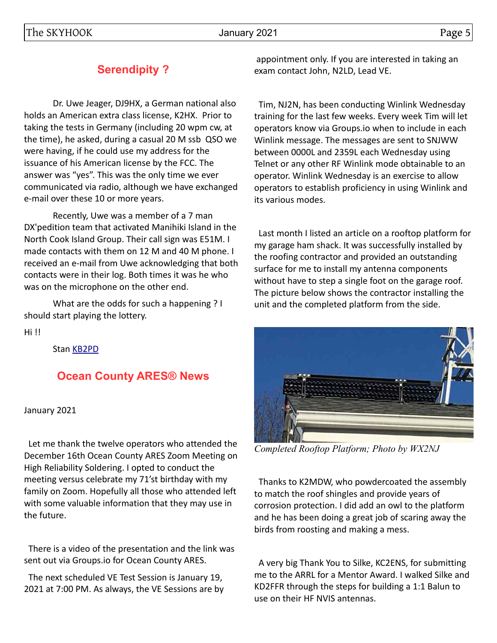# **Serendipity ?**

Dr. Uwe Jeager, DJ9HX, a German national also holds an American extra class license, K2HX. Prior to taking the tests in Germany (including 20 wpm cw, at the time), he asked, during a casual 20 M ssb QSO we were having, if he could use my address for the issuance of his American license by the FCC. The answer was "yes". This was the only time we ever communicated via radio, although we have exchanged e-mail over these 10 or more years.

Recently, Uwe was a member of a 7 man DX'pedition team that activated Manihiki Island in the North Cook Island Group. Their call sign was E51M. I made contacts with them on 12 M and 40 M phone. I received an e-mail from Uwe acknowledging that both contacts were in their log. Both times it was he who was on the microphone on the other end.

What are the odds for such a happening ? I should start playing the lottery.

Hi !!

Stan [KB2PD](mailto:KN1RQY@gmail.com)

# **Ocean County ARES® News**

### January 2021

 Let me thank the twelve operators who attended the December 16th Ocean County ARES Zoom Meeting on High Reliability Soldering. I opted to conduct the meeting versus celebrate my 71'st birthday with my family on Zoom. Hopefully all those who attended left with some valuable information that they may use in the future.

 There is a video of the presentation and the link was sent out via Groups.io for Ocean County ARES.

 The next scheduled VE Test Session is January 19, 2021 at 7:00 PM. As always, the VE Sessions are by

 appointment only. If you are interested in taking an exam contact John, N2LD, Lead VE.

 Tim, NJ2N, has been conducting Winlink Wednesday training for the last few weeks. Every week Tim will let operators know via Groups.io when to include in each Winlink message. The messages are sent to SNJWW between 0000L and 2359L each Wednesday using Telnet or any other RF Winlink mode obtainable to an operator. Winlink Wednesday is an exercise to allow operators to establish proficiency in using Winlink and its various modes.

 Last month I listed an article on a rooftop platform for my garage ham shack. It was successfully installed by the roofing contractor and provided an outstanding surface for me to install my antenna components without have to step a single foot on the garage roof. The picture below shows the contractor installing the unit and the completed platform from the side.



*Completed Rooftop Platform; Photo by WX2NJ*

 Thanks to K2MDW, who powdercoated the assembly to match the roof shingles and provide years of corrosion protection. I did add an owl to the platform and he has been doing a great job of scaring away the birds from roosting and making a mess.

 A very big Thank You to Silke, KC2ENS, for submitting me to the ARRL for a Mentor Award. I walked Silke and KD2FFR through the steps for building a 1:1 Balun to use on their HF NVIS antennas.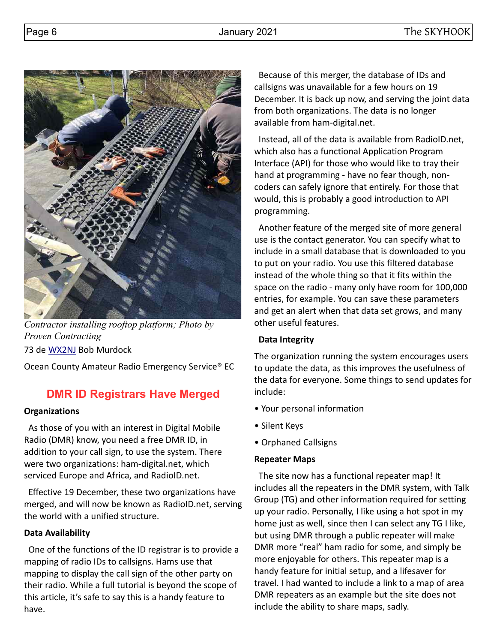

*Contractor installing rooftop platform; Photo by Proven Contracting*

73 de [WX2NJ](mailto:wx2nj@comcast.net) Bob Murdock

Ocean County Amateur Radio Emergency Service® EC

# **DMR ID Registrars Have Merged**

## **Organizations**

 As those of you with an interest in Digital Mobile Radio (DMR) know, you need a free DMR ID, in addition to your call sign, to use the system. There were two organizations: ham-digital.net, which serviced Europe and Africa, and RadioID.net.

 Effective 19 December, these two organizations have merged, and will now be known as RadioID.net, serving the world with a unified structure.

## **Data Availability**

 One of the functions of the ID registrar is to provide a mapping of radio IDs to callsigns. Hams use that mapping to display the call sign of the other party on their radio. While a full tutorial is beyond the scope of this article, it's safe to say this is a handy feature to have.

 Because of this merger, the database of IDs and callsigns was unavailable for a few hours on 19 December. It is back up now, and serving the joint data from both organizations. The data is no longer available from ham-digital.net.

 Instead, all of the data is available from RadioID.net, which also has a functional Application Program Interface (API) for those who would like to tray their hand at programming - have no fear though, noncoders can safely ignore that entirely. For those that would, this is probably a good introduction to API programming.

 Another feature of the merged site of more general use is the contact generator. You can specify what to include in a small database that is downloaded to you to put on your radio. You use this filtered database instead of the whole thing so that it fits within the space on the radio - many only have room for 100,000 entries, for example. You can save these parameters and get an alert when that data set grows, and many other useful features.

## **Data Integrity**

The organization running the system encourages users to update the data, as this improves the usefulness of the data for everyone. Some things to send updates for include:

- Your personal information
- Silent Keys
- Orphaned Callsigns

## **Repeater Maps**

 The site now has a functional repeater map! It includes all the repeaters in the DMR system, with Talk Group (TG) and other information required for setting up your radio. Personally, I like using a hot spot in my home just as well, since then I can select any TG I like, but using DMR through a public repeater will make DMR more "real" ham radio for some, and simply be more enjoyable for others. This repeater map is a handy feature for initial setup, and a lifesaver for travel. I had wanted to include a link to a map of area DMR repeaters as an example but the site does not include the ability to share maps, sadly.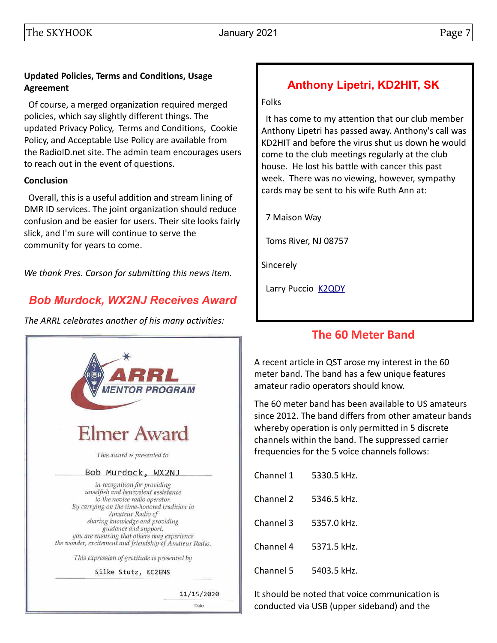## **Updated Policies, Terms and Conditions, Usage Agreement**

 Of course, a merged organization required merged policies, which say slightly different things. The updated Privacy Policy, Terms and Conditions, Cookie Policy, and Acceptable Use Policy are available from the RadioID.net site. The admin team encourages users to reach out in the event of questions.

## **Conclusion**

 Overall, this is a useful addition and stream lining of DMR ID services. The joint organization should reduce confusion and be easier for users. Their site looks fairly slick, and I'm sure will continue to serve the community for years to come.

*We thank Pres. Carson for submitting this news item.*

# *Bob Murdock, WX2NJ Receives Award*

*The ARRL celebrates another of his many activities:*



# **Anthony Lipetri, KD2HIT, SK**

Folks

 It has come to my attention that our club member Anthony Lipetri has passed away. Anthony's call was KD2HIT and before the virus shut us down he would come to the club meetings regularly at the club house. He lost his battle with cancer this past week. There was no viewing, however, sympathy cards may be sent to his wife Ruth Ann at:

7 Maison Way

Toms River, NJ 08757

**Sincerely** 

Larry Puccio **[K2QDY](mailto:lpuccio071@gmail.com)** 

# **The 60 Meter Band**

A recent article in QST arose my interest in the 60 meter band. The band has a few unique features amateur radio operators should know.

The 60 meter band has been available to US amateurs since 2012. The band differs from other amateur bands whereby operation is only permitted in 5 discrete channels within the band. The suppressed carrier frequencies for the 5 voice channels follows:

| Channel 1 | 5330.5 kHz. |
|-----------|-------------|
| Channel 2 | 5346.5 kHz. |
| Channel 3 | 5357.0 kHz. |
| Channel 4 | 5371.5 kHz. |
| Channel 5 | 5403.5 kHz. |

It should be noted that voice communication is conducted via USB (upper sideband) and the